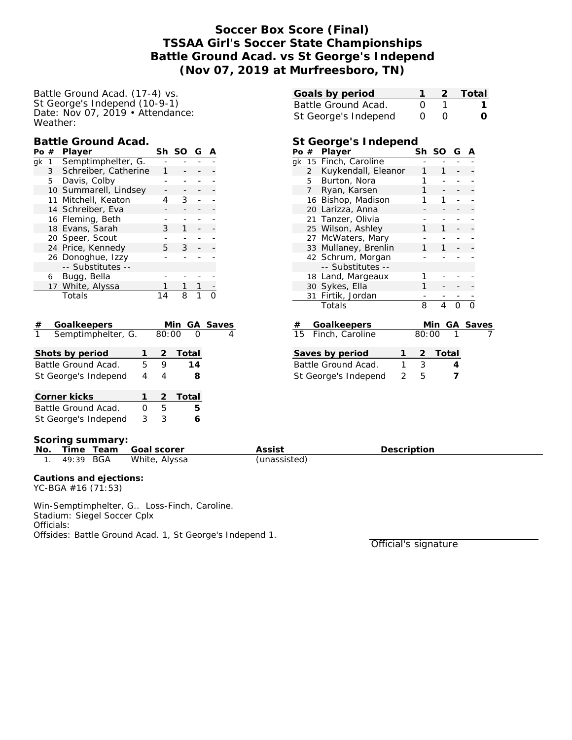# **Soccer Box Score (Final) TSSAA Girl's Soccer State Championships Battle Ground Acad. vs St George's Independ (Nov 07, 2019 at Murfreesboro, TN)**

### Battle Ground Acad. (17-4) vs. St George's Independ (10-9-1) Date: Nov 07, 2019 • Attendance: Weather:

### **Battle Ground Acad.**

| Pο | # | Player                | Sh | <sub>SO</sub> | G |  |
|----|---|-----------------------|----|---------------|---|--|
| ak | 1 | Semptimphelter, G.    |    |               |   |  |
|    | 3 | Schreiber, Catherine  |    |               |   |  |
|    | 5 | Davis, Colby          |    |               |   |  |
|    |   | 10 Summarell, Lindsey |    |               |   |  |
|    |   | 11 Mitchell, Keaton   |    | 3             |   |  |
|    |   | 14 Schreiber, Eva     |    |               |   |  |
|    |   | 16 Fleming, Beth      |    |               |   |  |
|    |   | 18 Evans, Sarah       | 3  |               |   |  |
|    |   | 20 Speer, Scout       |    |               |   |  |
|    |   | 24 Price, Kennedy     | 5. | 3             |   |  |
|    |   | 26 Donoghue, Izzy     |    |               |   |  |
|    |   | -- Substitutes --     |    |               |   |  |
|    | 6 | Bugg, Bella           |    |               |   |  |
|    |   | 17 White, Alyssa      |    |               |   |  |
|    |   | Totals                |    |               |   |  |

| Goalkeepers<br>#        |                  |       | Min GA Saves |  |
|-------------------------|------------------|-------|--------------|--|
| Semptimphelter, G.<br>1 |                  | 80:00 | ∩            |  |
| Shots by period         |                  | 2     | Total        |  |
| Battle Ground Acad.     | 9                | 14    |              |  |
| St George's Independ    | 4                | 4     | 8            |  |
| Corner kicks            |                  | 2     | Total        |  |
| Battle Ground Acad.     | $\left( \right)$ | 5     | 5            |  |
| St George's Independ    | 3                | 3     |              |  |

| Goals by period      |                  | 2 Total          |
|----------------------|------------------|------------------|
| Battle Ground Acad.  |                  |                  |
| St George's Independ | $\left( \right)$ | $\left( \right)$ |
|                      |                  |                  |

## **St George's Independ**

| Po # |                   | Player                | Sh    | SO             | G | А |          |
|------|-------------------|-----------------------|-------|----------------|---|---|----------|
|      |                   | gk 15 Finch, Caroline |       |                |   |   |          |
|      | $\overline{2}$    | Kuykendall, Eleanor   |       | 1              |   |   |          |
|      |                   | 5 Burton, Nora        | 1     |                |   |   |          |
|      | 7                 | Ryan, Karsen          | 1     |                |   |   |          |
|      |                   | 16 Bishop, Madison    |       |                |   |   |          |
|      |                   | 20 Larizza, Anna      |       |                |   |   |          |
|      |                   | 21 Tanzer, Olivia     |       |                |   |   |          |
|      |                   | 25 Wilson, Ashley     |       |                |   |   |          |
|      |                   | 27 McWaters, Mary     |       |                |   |   |          |
|      |                   | 33 Mullaney, Brenlin  |       | 1              |   |   |          |
|      | 42 Schrum, Morgan |                       |       |                |   |   |          |
|      |                   | -- Substitutes --     |       |                |   |   |          |
|      |                   | 18 Land, Margeaux     | 1     |                |   |   |          |
|      |                   | 30 Sykes, Ella        | 1     |                |   |   |          |
|      |                   | 31 Firtik, Jordan     |       |                |   |   |          |
|      |                   | Totals                | 8     | $\overline{4}$ |   |   |          |
| #    |                   | Goalkeepers           |       | Min            |   |   | GA Saves |
| 15   |                   | Finch, Caroline       | 80:00 |                | 1 |   |          |

| Saves by period      |               | 2 Total |
|----------------------|---------------|---------|
| Battle Ground Acad.  |               |         |
| St George's Independ | $\mathcal{F}$ |         |

#### **Scoring summary:**

| No | Time<br>Team | - Goal scorer | Assist       | Description |  |  |  |  |
|----|--------------|---------------|--------------|-------------|--|--|--|--|
|    | 49:39 BGA    | White, Alyssa | (unassisted) |             |  |  |  |  |

**Cautions and ejections:** YC-BGA #16 (71:53)

Win-Semptimphelter, G.. Loss-Finch, Caroline. Stadium: Siegel Soccer Cplx Officials: Offsides: Battle Ground Acad. 1, St George's Independ 1.

Official's signature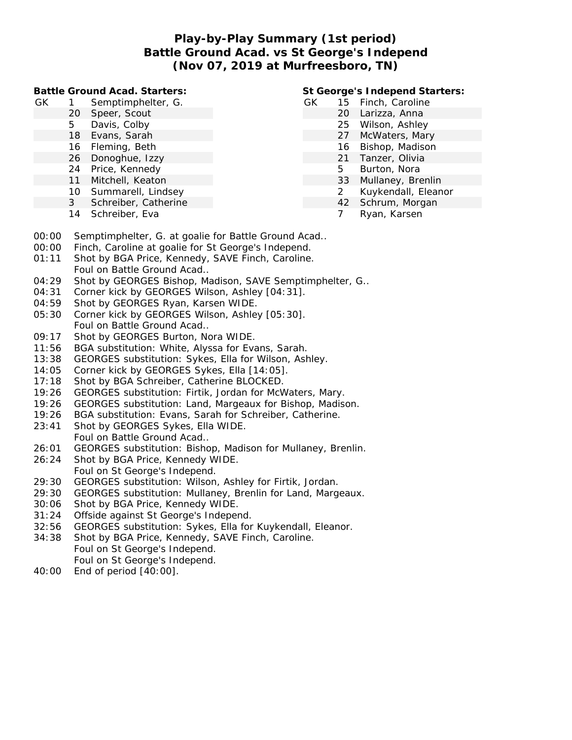## **Play-by-Play Summary (1st period) Battle Ground Acad. vs St George's Independ (Nov 07, 2019 at Murfreesboro, TN)**

**Battle Ground Acad. Starters:**

- GK 1 Semptimphelter, G.
	- 20 Speer, Scout
	- 5 Davis, Colby
	- 18 Evans, Sarah
	- 16 Fleming, Beth
	- 26 Donoghue, Izzy
	- 24 Price, Kennedy
	- 11 Mitchell, Keaton
	- 10 Summarell, Lindsey
	- 3 Schreiber, Catherine
	- 14 Schreiber, Eva

## **St George's Independ Starters:**

- GK 15 Finch, Caroline
	- 20 Larizza, Anna
		- 25 Wilson, Ashley
		- 27 McWaters, Mary
		- 16 Bishop, Madison
		- 21 Tanzer, Olivia
		- 5 Burton, Nora
		- 33 Mullaney, Brenlin
		- 2 Kuykendall, Eleanor
		- 42 Schrum, Morgan
		- 7 Ryan, Karsen
- 00:00 Semptimphelter, G. at goalie for Battle Ground Acad..
- 00:00 Finch, Caroline at goalie for St George's Independ.
- 01:11 Shot by BGA Price, Kennedy, SAVE Finch, Caroline. Foul on Battle Ground Acad..
- 04:29 Shot by GEORGES Bishop, Madison, SAVE Semptimphelter, G..
- 04:31 Corner kick by GEORGES Wilson, Ashley [04:31].
- 04:59 Shot by GEORGES Ryan, Karsen WIDE.
- 05:30 Corner kick by GEORGES Wilson, Ashley [05:30]. Foul on Battle Ground Acad..
- 09:17 Shot by GEORGES Burton, Nora WIDE.
- 11:56 BGA substitution: White, Alyssa for Evans, Sarah.
- 13:38 GEORGES substitution: Sykes, Ella for Wilson, Ashley.
- 14:05 Corner kick by GEORGES Sykes, Ella [14:05].
- 17:18 Shot by BGA Schreiber, Catherine BLOCKED.
- 19:26 GEORGES substitution: Firtik, Jordan for McWaters, Mary.
- 19:26 GEORGES substitution: Land, Margeaux for Bishop, Madison.
- 19:26 BGA substitution: Evans, Sarah for Schreiber, Catherine.
- 23:41 Shot by GEORGES Sykes, Ella WIDE. Foul on Battle Ground Acad..
- 26:01 GEORGES substitution: Bishop, Madison for Mullaney, Brenlin.
- 26:24 Shot by BGA Price, Kennedy WIDE. Foul on St George's Independ.
- 29:30 GEORGES substitution: Wilson, Ashley for Firtik, Jordan.
- 29:30 GEORGES substitution: Mullaney, Brenlin for Land, Margeaux.
- 30:06 Shot by BGA Price, Kennedy WIDE.
- 31:24 Offside against St George's Independ.
- 32:56 GEORGES substitution: Sykes, Ella for Kuykendall, Eleanor.
- 34:38 Shot by BGA Price, Kennedy, SAVE Finch, Caroline. Foul on St George's Independ.
	- Foul on St George's Independ.
- 40:00 End of period [40:00].